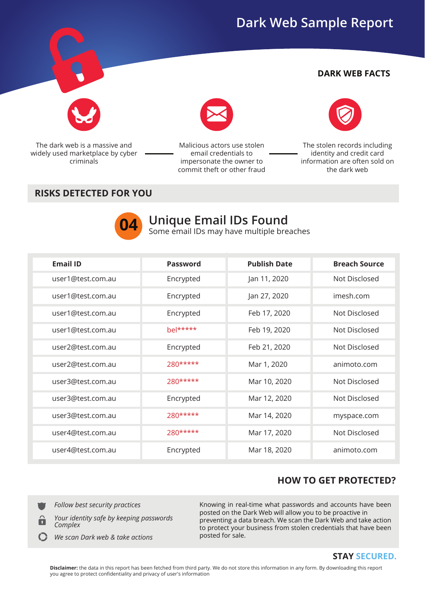## **Dark Web Sample Report**

#### **DARK WEB FACTS**



The dark web is a massive and widely used marketplace by cyber criminals

Malicious actors use stolen email credentials to impersonate the owner to commit theft or other fraud



The stolen records including identity and credit card information are often sold on the dark web

#### **RISKS DETECTED FOR YOU**



# **14** Unique Email IDs Found<br> **04** Some email IDs may have multiple breaches

| <b>Email ID</b>   | <b>Password</b> | <b>Publish Date</b> | <b>Breach Source</b> |
|-------------------|-----------------|---------------------|----------------------|
| user1@test.com.au | Encrypted       | Jan 11, 2020        | Not Disclosed        |
| user1@test.com.au | Encrypted       | Jan 27, 2020        | imesh.com            |
| user1@test.com.au | Encrypted       | Feb 17, 2020        | Not Disclosed        |
| user1@test.com.au | $be *****$      | Feb 19, 2020        | Not Disclosed        |
| user2@test.com.au | Encrypted       | Feb 21, 2020        | Not Disclosed        |
| user2@test.com.au | $280***$        | Mar 1, 2020         | animoto.com          |
| user3@test.com.au | $780****$       | Mar 10, 2020        | Not Disclosed        |
| user3@test.com.au | Encrypted       | Mar 12, 2020        | Not Disclosed        |
| user3@test.com.au | $780****$       | Mar 14, 2020        | myspace.com          |
| user4@test.com.au | $280***$        | Mar 17, 2020        | Not Disclosed        |
| user4@test.com.au | Encrypted       | Mar 18, 2020        | animoto.com          |

### **HOW TO GET PROTECTED?**

*Follow best security practices*



*We scan Dark web & take actions*

Knowing in real-time what passwords and accounts have been posted on the Dark Web will allow you to be proactive in preventing a data breach. We scan the Dark Web and take action to protect your business from stolen credentials that have been posted for sale.